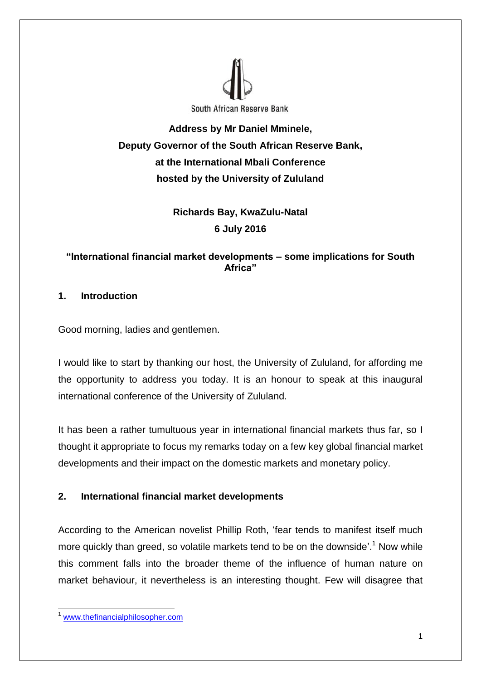

**Address by Mr Daniel Mminele, Deputy Governor of the South African Reserve Bank, at the International Mbali Conference hosted by the University of Zululand**

> **Richards Bay, KwaZulu-Natal 6 July 2016**

# **"International financial market developments – some implications for South Africa"**

# **1. Introduction**

Good morning, ladies and gentlemen.

I would like to start by thanking our host, the University of Zululand, for affording me the opportunity to address you today. It is an honour to speak at this inaugural international conference of the University of Zululand.

It has been a rather tumultuous year in international financial markets thus far, so I thought it appropriate to focus my remarks today on a few key global financial market developments and their impact on the domestic markets and monetary policy.

## **2. International financial market developments**

According to the American novelist Phillip Roth, 'fear tends to manifest itself much more quickly than greed, so volatile markets tend to be on the downside'.<sup>1</sup> Now while this comment falls into the broader theme of the influence of human nature on market behaviour, it nevertheless is an interesting thought. Few will disagree that

**<sup>.</sup>** [www.thefinancialphilosopher.com](http://www.thefinancialphilosopher.com/)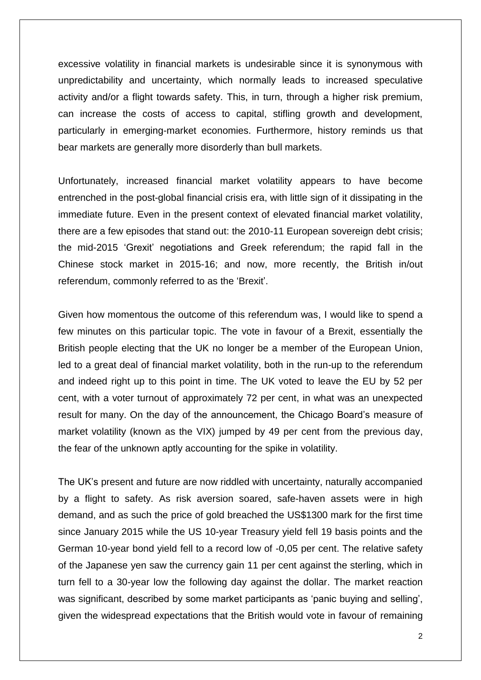excessive volatility in financial markets is undesirable since it is synonymous with unpredictability and uncertainty, which normally leads to increased speculative activity and/or a flight towards safety. This, in turn, through a higher risk premium, can increase the costs of access to capital, stifling growth and development, particularly in emerging-market economies. Furthermore, history reminds us that bear markets are generally more disorderly than bull markets.

Unfortunately, increased financial market volatility appears to have become entrenched in the post-global financial crisis era, with little sign of it dissipating in the immediate future. Even in the present context of elevated financial market volatility, there are a few episodes that stand out: the 2010-11 European sovereign debt crisis; the mid-2015 'Grexit' negotiations and Greek referendum; the rapid fall in the Chinese stock market in 2015-16; and now, more recently, the British in/out referendum, commonly referred to as the 'Brexit'.

Given how momentous the outcome of this referendum was, I would like to spend a few minutes on this particular topic. The vote in favour of a Brexit, essentially the British people electing that the UK no longer be a member of the European Union, led to a great deal of financial market volatility, both in the run-up to the referendum and indeed right up to this point in time. The UK voted to leave the EU by 52 per cent, with a voter turnout of approximately 72 per cent, in what was an unexpected result for many. On the day of the announcement, the Chicago Board's measure of market volatility (known as the VIX) jumped by 49 per cent from the previous day, the fear of the unknown aptly accounting for the spike in volatility.

The UK's present and future are now riddled with uncertainty, naturally accompanied by a flight to safety. As risk aversion soared, safe-haven assets were in high demand, and as such the price of gold breached the US\$1300 mark for the first time since January 2015 while the US 10-year Treasury yield fell 19 basis points and the German 10-year bond yield fell to a record low of -0,05 per cent. The relative safety of the Japanese yen saw the currency gain 11 per cent against the sterling, which in turn fell to a 30-year low the following day against the dollar. The market reaction was significant, described by some market participants as 'panic buying and selling', given the widespread expectations that the British would vote in favour of remaining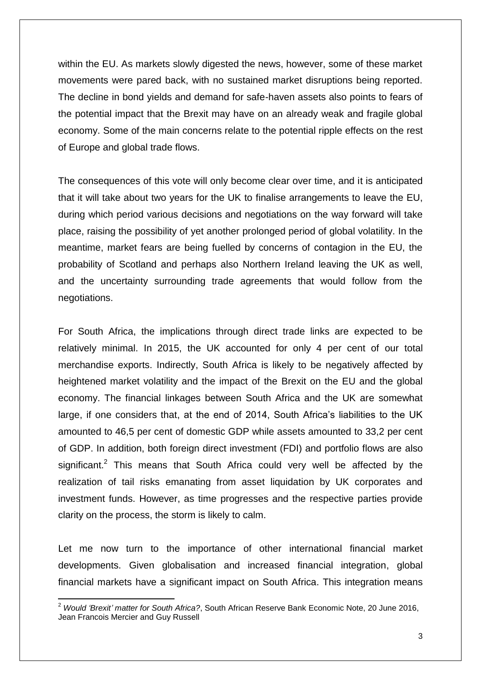within the EU. As markets slowly digested the news, however, some of these market movements were pared back, with no sustained market disruptions being reported. The decline in bond yields and demand for safe-haven assets also points to fears of the potential impact that the Brexit may have on an already weak and fragile global economy. Some of the main concerns relate to the potential ripple effects on the rest of Europe and global trade flows.

The consequences of this vote will only become clear over time, and it is anticipated that it will take about two years for the UK to finalise arrangements to leave the EU, during which period various decisions and negotiations on the way forward will take place, raising the possibility of yet another prolonged period of global volatility. In the meantime, market fears are being fuelled by concerns of contagion in the EU, the probability of Scotland and perhaps also Northern Ireland leaving the UK as well, and the uncertainty surrounding trade agreements that would follow from the negotiations.

For South Africa, the implications through direct trade links are expected to be relatively minimal. In 2015, the UK accounted for only 4 per cent of our total merchandise exports. Indirectly, South Africa is likely to be negatively affected by heightened market volatility and the impact of the Brexit on the EU and the global economy. The financial linkages between South Africa and the UK are somewhat large, if one considers that, at the end of 2014, South Africa's liabilities to the UK amounted to 46,5 per cent of domestic GDP while assets amounted to 33,2 per cent of GDP. In addition, both foreign direct investment (FDI) and portfolio flows are also significant.<sup>2</sup> This means that South Africa could very well be affected by the realization of tail risks emanating from asset liquidation by UK corporates and investment funds. However, as time progresses and the respective parties provide clarity on the process, the storm is likely to calm.

Let me now turn to the importance of other international financial market developments. Given globalisation and increased financial integration, global financial markets have a significant impact on South Africa. This integration means

**.** 

<sup>2</sup> *Would 'Brexit' matter for South Africa?*, South African Reserve Bank Economic Note, 20 June 2016, Jean Francois Mercier and Guy Russell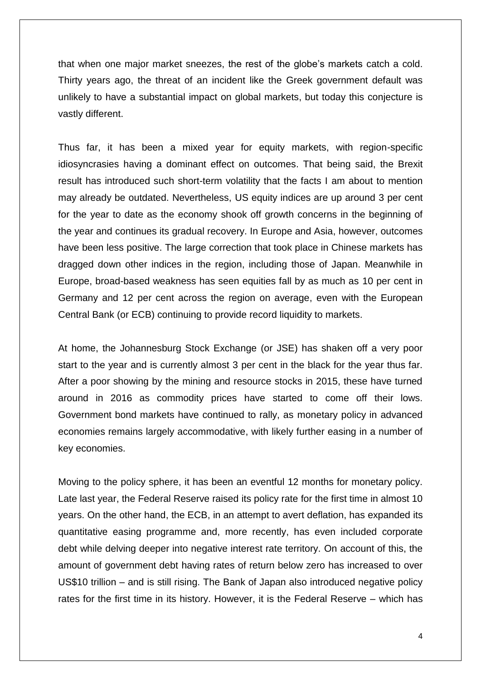that when one major market sneezes, the rest of the globe's markets catch a cold. Thirty years ago, the threat of an incident like the Greek government default was unlikely to have a substantial impact on global markets, but today this conjecture is vastly different.

Thus far, it has been a mixed year for equity markets, with region-specific idiosyncrasies having a dominant effect on outcomes. That being said, the Brexit result has introduced such short-term volatility that the facts I am about to mention may already be outdated. Nevertheless, US equity indices are up around 3 per cent for the year to date as the economy shook off growth concerns in the beginning of the year and continues its gradual recovery. In Europe and Asia, however, outcomes have been less positive. The large correction that took place in Chinese markets has dragged down other indices in the region, including those of Japan. Meanwhile in Europe, broad-based weakness has seen equities fall by as much as 10 per cent in Germany and 12 per cent across the region on average, even with the European Central Bank (or ECB) continuing to provide record liquidity to markets.

At home, the Johannesburg Stock Exchange (or JSE) has shaken off a very poor start to the year and is currently almost 3 per cent in the black for the year thus far. After a poor showing by the mining and resource stocks in 2015, these have turned around in 2016 as commodity prices have started to come off their lows. Government bond markets have continued to rally, as monetary policy in advanced economies remains largely accommodative, with likely further easing in a number of key economies.

Moving to the policy sphere, it has been an eventful 12 months for monetary policy. Late last year, the Federal Reserve raised its policy rate for the first time in almost 10 years. On the other hand, the ECB, in an attempt to avert deflation, has expanded its quantitative easing programme and, more recently, has even included corporate debt while delving deeper into negative interest rate territory. On account of this, the amount of government debt having rates of return below zero has increased to over US\$10 trillion – and is still rising. The Bank of Japan also introduced negative policy rates for the first time in its history. However, it is the Federal Reserve – which has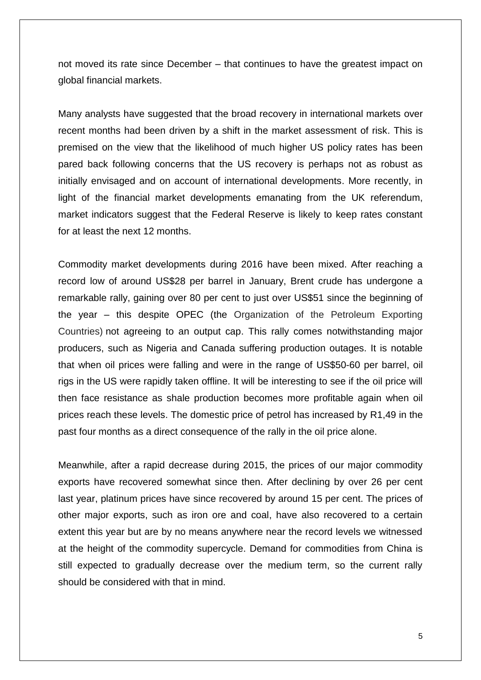not moved its rate since December – that continues to have the greatest impact on global financial markets.

Many analysts have suggested that the broad recovery in international markets over recent months had been driven by a shift in the market assessment of risk. This is premised on the view that the likelihood of much higher US policy rates has been pared back following concerns that the US recovery is perhaps not as robust as initially envisaged and on account of international developments. More recently, in light of the financial market developments emanating from the UK referendum, market indicators suggest that the Federal Reserve is likely to keep rates constant for at least the next 12 months.

Commodity market developments during 2016 have been mixed. After reaching a record low of around US\$28 per barrel in January, Brent crude has undergone a remarkable rally, gaining over 80 per cent to just over US\$51 since the beginning of the year – this despite OPEC (the Organization of the Petroleum Exporting Countries) not agreeing to an output cap. This rally comes notwithstanding major producers, such as Nigeria and Canada suffering production outages. It is notable that when oil prices were falling and were in the range of US\$50-60 per barrel, oil rigs in the US were rapidly taken offline. It will be interesting to see if the oil price will then face resistance as shale production becomes more profitable again when oil prices reach these levels. The domestic price of petrol has increased by R1,49 in the past four months as a direct consequence of the rally in the oil price alone.

Meanwhile, after a rapid decrease during 2015, the prices of our major commodity exports have recovered somewhat since then. After declining by over 26 per cent last year, platinum prices have since recovered by around 15 per cent. The prices of other major exports, such as iron ore and coal, have also recovered to a certain extent this year but are by no means anywhere near the record levels we witnessed at the height of the commodity supercycle. Demand for commodities from China is still expected to gradually decrease over the medium term, so the current rally should be considered with that in mind.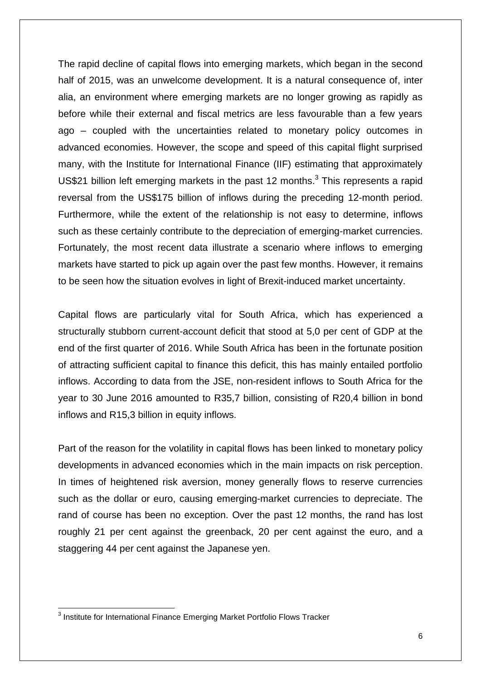The rapid decline of capital flows into emerging markets, which began in the second half of 2015, was an unwelcome development. It is a natural consequence of, inter alia, an environment where emerging markets are no longer growing as rapidly as before while their external and fiscal metrics are less favourable than a few years ago – coupled with the uncertainties related to monetary policy outcomes in advanced economies. However, the scope and speed of this capital flight surprised many, with the Institute for International Finance (IIF) estimating that approximately US\$21 billion left emerging markets in the past 12 months.<sup>3</sup> This represents a rapid reversal from the US\$175 billion of inflows during the preceding 12-month period. Furthermore, while the extent of the relationship is not easy to determine, inflows such as these certainly contribute to the depreciation of emerging-market currencies. Fortunately, the most recent data illustrate a scenario where inflows to emerging markets have started to pick up again over the past few months. However, it remains to be seen how the situation evolves in light of Brexit-induced market uncertainty.

Capital flows are particularly vital for South Africa, which has experienced a structurally stubborn current-account deficit that stood at 5,0 per cent of GDP at the end of the first quarter of 2016. While South Africa has been in the fortunate position of attracting sufficient capital to finance this deficit, this has mainly entailed portfolio inflows. According to data from the JSE, non-resident inflows to South Africa for the year to 30 June 2016 amounted to R35,7 billion, consisting of R20,4 billion in bond inflows and R15,3 billion in equity inflows.

Part of the reason for the volatility in capital flows has been linked to monetary policy developments in advanced economies which in the main impacts on risk perception. In times of heightened risk aversion, money generally flows to reserve currencies such as the dollar or euro, causing emerging-market currencies to depreciate. The rand of course has been no exception. Over the past 12 months, the rand has lost roughly 21 per cent against the greenback, 20 per cent against the euro, and a staggering 44 per cent against the Japanese yen.

 3 Institute for International Finance Emerging Market Portfolio Flows Tracker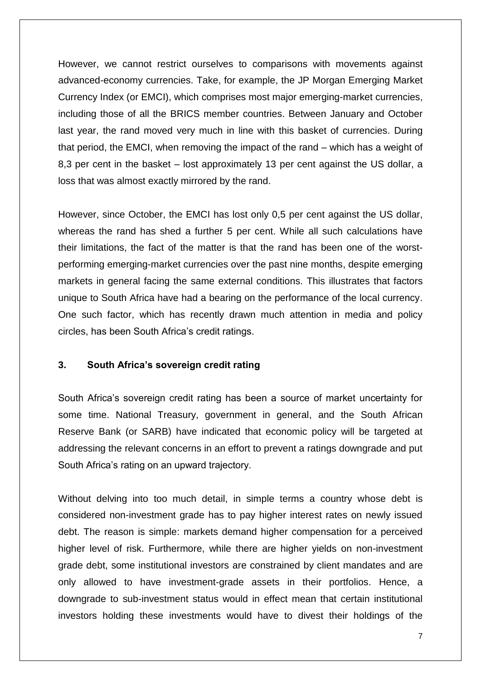However, we cannot restrict ourselves to comparisons with movements against advanced-economy currencies. Take, for example, the JP Morgan Emerging Market Currency Index (or EMCI), which comprises most major emerging-market currencies, including those of all the BRICS member countries. Between January and October last year, the rand moved very much in line with this basket of currencies. During that period, the EMCI, when removing the impact of the rand – which has a weight of 8,3 per cent in the basket – lost approximately 13 per cent against the US dollar, a loss that was almost exactly mirrored by the rand.

However, since October, the EMCI has lost only 0,5 per cent against the US dollar, whereas the rand has shed a further 5 per cent. While all such calculations have their limitations, the fact of the matter is that the rand has been one of the worstperforming emerging-market currencies over the past nine months, despite emerging markets in general facing the same external conditions. This illustrates that factors unique to South Africa have had a bearing on the performance of the local currency. One such factor, which has recently drawn much attention in media and policy circles, has been South Africa's credit ratings.

#### **3. South Africa's sovereign credit rating**

South Africa's sovereign credit rating has been a source of market uncertainty for some time. National Treasury, government in general, and the South African Reserve Bank (or SARB) have indicated that economic policy will be targeted at addressing the relevant concerns in an effort to prevent a ratings downgrade and put South Africa's rating on an upward trajectory.

Without delving into too much detail, in simple terms a country whose debt is considered non-investment grade has to pay higher interest rates on newly issued debt. The reason is simple: markets demand higher compensation for a perceived higher level of risk. Furthermore, while there are higher yields on non-investment grade debt, some institutional investors are constrained by client mandates and are only allowed to have investment-grade assets in their portfolios. Hence, a downgrade to sub-investment status would in effect mean that certain institutional investors holding these investments would have to divest their holdings of the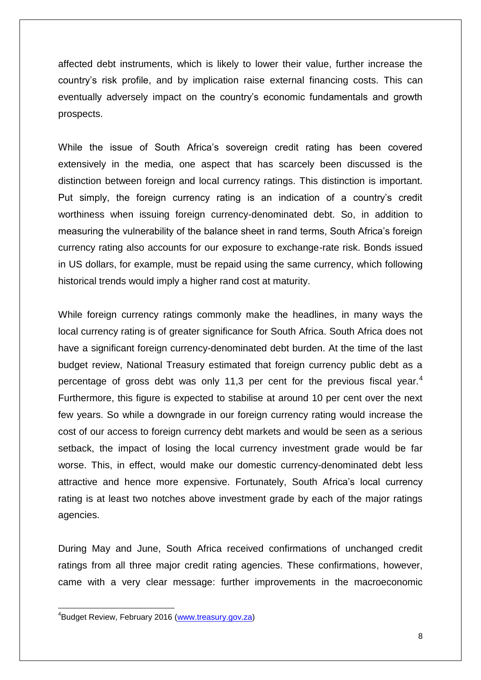affected debt instruments, which is likely to lower their value, further increase the country's risk profile, and by implication raise external financing costs. This can eventually adversely impact on the country's economic fundamentals and growth prospects.

While the issue of South Africa's sovereign credit rating has been covered extensively in the media, one aspect that has scarcely been discussed is the distinction between foreign and local currency ratings. This distinction is important. Put simply, the foreign currency rating is an indication of a country's credit worthiness when issuing foreign currency-denominated debt. So, in addition to measuring the vulnerability of the balance sheet in rand terms, South Africa's foreign currency rating also accounts for our exposure to exchange-rate risk. Bonds issued in US dollars, for example, must be repaid using the same currency, which following historical trends would imply a higher rand cost at maturity.

While foreign currency ratings commonly make the headlines, in many ways the local currency rating is of greater significance for South Africa. South Africa does not have a significant foreign currency-denominated debt burden. At the time of the last budget review, National Treasury estimated that foreign currency public debt as a percentage of gross debt was only 11,3 per cent for the previous fiscal year.<sup>4</sup> Furthermore, this figure is expected to stabilise at around 10 per cent over the next few years. So while a downgrade in our foreign currency rating would increase the cost of our access to foreign currency debt markets and would be seen as a serious setback, the impact of losing the local currency investment grade would be far worse. This, in effect, would make our domestic currency-denominated debt less attractive and hence more expensive. Fortunately, South Africa's local currency rating is at least two notches above investment grade by each of the major ratings agencies.

During May and June, South Africa received confirmations of unchanged credit ratings from all three major credit rating agencies. These confirmations, however, came with a very clear message: further improvements in the macroeconomic

**.** 

<sup>&</sup>lt;sup>4</sup>Budget Review, February 2016 [\(www.treasury.gov.za\)](http://www.treasury.gov.za/)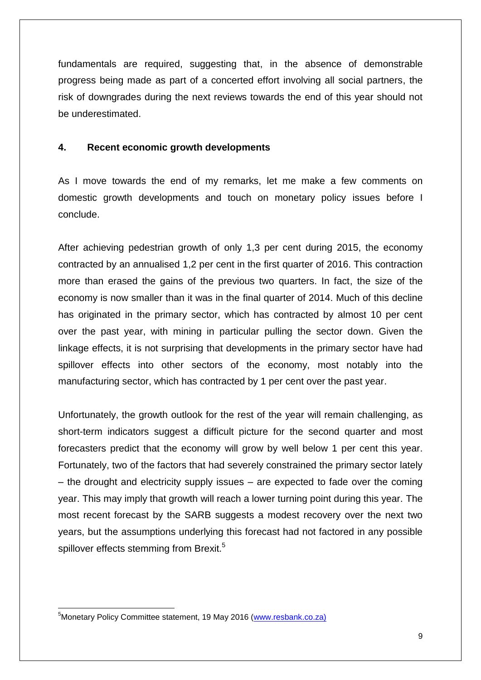fundamentals are required, suggesting that, in the absence of demonstrable progress being made as part of a concerted effort involving all social partners, the risk of downgrades during the next reviews towards the end of this year should not be underestimated.

## **4. Recent economic growth developments**

As I move towards the end of my remarks, let me make a few comments on domestic growth developments and touch on monetary policy issues before I conclude.

After achieving pedestrian growth of only 1,3 per cent during 2015, the economy contracted by an annualised 1,2 per cent in the first quarter of 2016. This contraction more than erased the gains of the previous two quarters. In fact, the size of the economy is now smaller than it was in the final quarter of 2014. Much of this decline has originated in the primary sector, which has contracted by almost 10 per cent over the past year, with mining in particular pulling the sector down. Given the linkage effects, it is not surprising that developments in the primary sector have had spillover effects into other sectors of the economy, most notably into the manufacturing sector, which has contracted by 1 per cent over the past year.

Unfortunately, the growth outlook for the rest of the year will remain challenging, as short-term indicators suggest a difficult picture for the second quarter and most forecasters predict that the economy will grow by well below 1 per cent this year. Fortunately, two of the factors that had severely constrained the primary sector lately – the drought and electricity supply issues – are expected to fade over the coming year. This may imply that growth will reach a lower turning point during this year. The most recent forecast by the SARB suggests a modest recovery over the next two years, but the assumptions underlying this forecast had not factored in any possible spillover effects stemming from Brexit.<sup>5</sup>

**<sup>.</sup>** <sup>5</sup>Monetary Policy Committee statement, 19 May 2016 [\(www.resbank.co.za\)](http://www.resbank.co.za/)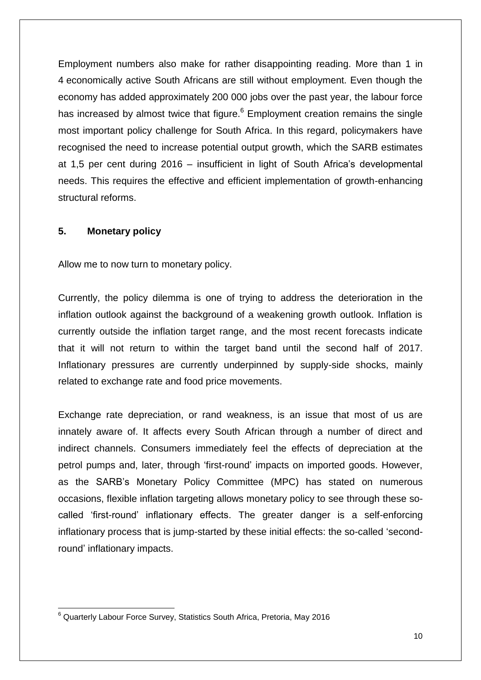Employment numbers also make for rather disappointing reading. More than 1 in 4 economically active South Africans are still without employment. Even though the economy has added approximately 200 000 jobs over the past year, the labour force has increased by almost twice that figure.<sup>6</sup> Employment creation remains the single most important policy challenge for South Africa. In this regard, policymakers have recognised the need to increase potential output growth, which the SARB estimates at 1,5 per cent during 2016 – insufficient in light of South Africa's developmental needs. This requires the effective and efficient implementation of growth-enhancing structural reforms.

## **5. Monetary policy**

Allow me to now turn to monetary policy.

Currently, the policy dilemma is one of trying to address the deterioration in the inflation outlook against the background of a weakening growth outlook. Inflation is currently outside the inflation target range, and the most recent forecasts indicate that it will not return to within the target band until the second half of 2017. Inflationary pressures are currently underpinned by supply-side shocks, mainly related to exchange rate and food price movements.

Exchange rate depreciation, or rand weakness, is an issue that most of us are innately aware of. It affects every South African through a number of direct and indirect channels. Consumers immediately feel the effects of depreciation at the petrol pumps and, later, through 'first-round' impacts on imported goods. However, as the SARB's Monetary Policy Committee (MPC) has stated on numerous occasions, flexible inflation targeting allows monetary policy to see through these socalled 'first-round' inflationary effects. The greater danger is a self-enforcing inflationary process that is jump-started by these initial effects: the so-called 'secondround' inflationary impacts.

**<sup>.</sup>**  $6$  Quarterly Labour Force Survey, Statistics South Africa, Pretoria, May 2016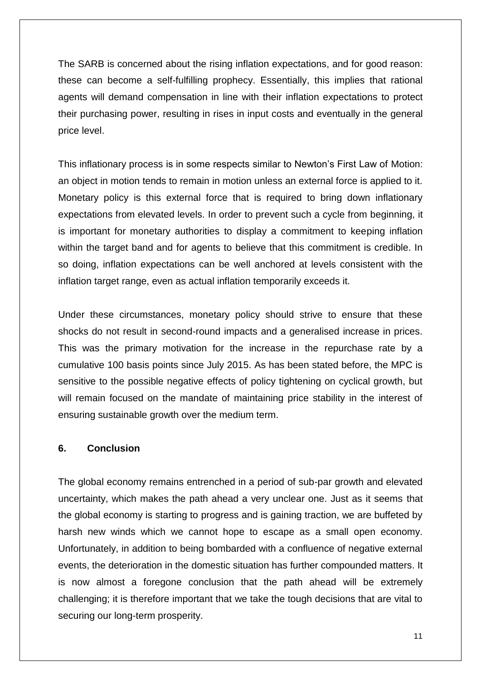The SARB is concerned about the rising inflation expectations, and for good reason: these can become a self-fulfilling prophecy. Essentially, this implies that rational agents will demand compensation in line with their inflation expectations to protect their purchasing power, resulting in rises in input costs and eventually in the general price level.

This inflationary process is in some respects similar to Newton's First Law of Motion: an object in motion tends to remain in motion unless an external force is applied to it. Monetary policy is this external force that is required to bring down inflationary expectations from elevated levels. In order to prevent such a cycle from beginning, it is important for monetary authorities to display a commitment to keeping inflation within the target band and for agents to believe that this commitment is credible. In so doing, inflation expectations can be well anchored at levels consistent with the inflation target range, even as actual inflation temporarily exceeds it.

Under these circumstances, monetary policy should strive to ensure that these shocks do not result in second-round impacts and a generalised increase in prices. This was the primary motivation for the increase in the repurchase rate by a cumulative 100 basis points since July 2015. As has been stated before, the MPC is sensitive to the possible negative effects of policy tightening on cyclical growth, but will remain focused on the mandate of maintaining price stability in the interest of ensuring sustainable growth over the medium term.

#### **6. Conclusion**

The global economy remains entrenched in a period of sub-par growth and elevated uncertainty, which makes the path ahead a very unclear one. Just as it seems that the global economy is starting to progress and is gaining traction, we are buffeted by harsh new winds which we cannot hope to escape as a small open economy. Unfortunately, in addition to being bombarded with a confluence of negative external events, the deterioration in the domestic situation has further compounded matters. It is now almost a foregone conclusion that the path ahead will be extremely challenging; it is therefore important that we take the tough decisions that are vital to securing our long-term prosperity.